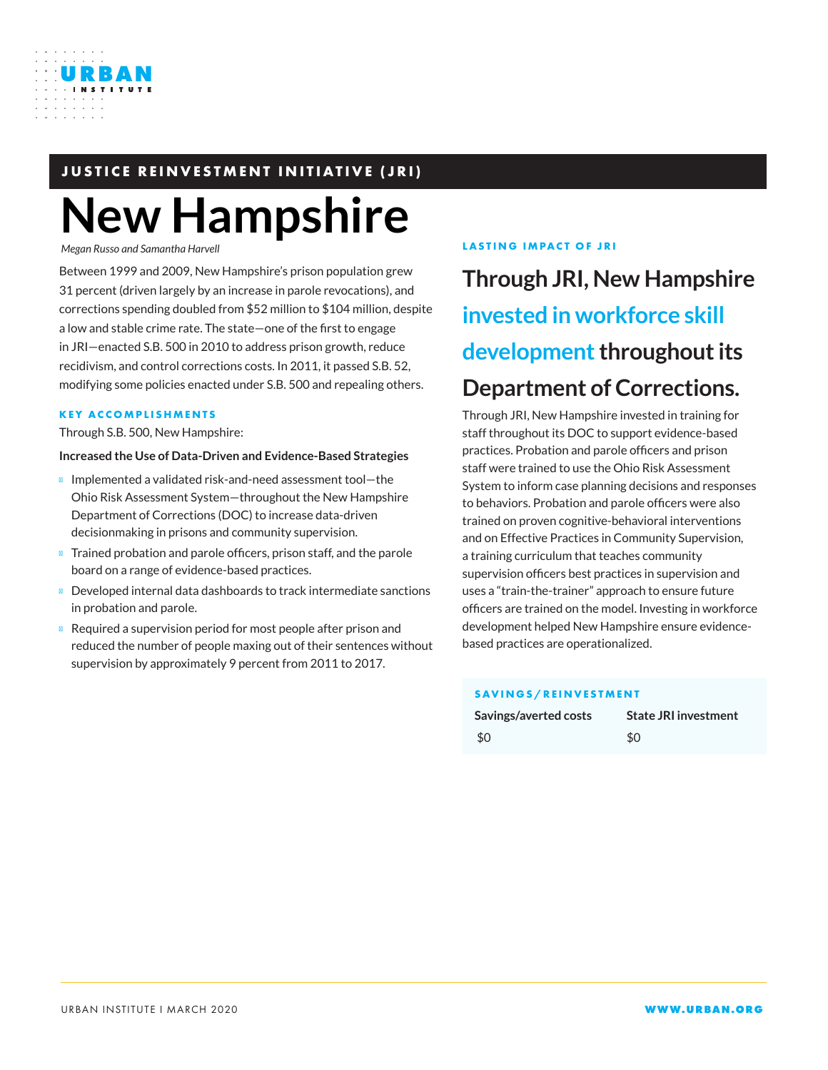

# **JUSTICE REINVESTMENT INITIATIVE (JRI)**

# **New Hampshire**

*Megan Russo and Samantha Harvell*

Between 1999 and 2009, New Hampshire's prison population grew 31 percent (driven largely by an increase in parole revocations), and corrections spending doubled from \$52 million to \$104 million, despite a low and stable crime rate. The state—one of the first to engage in JRI—enacted S.B. 500 in 2010 to address prison growth, reduce recidivism, and control corrections costs. In 2011, it passed S.B. 52, modifying some policies enacted under S.B. 500 and repealing others.

#### **KEY ACCOMPLISHMENTS**

Through S.B. 500, New Hampshire:

#### **Increased the Use of Data-Driven and Evidence-Based Strategies**

Implemented a validated risk-and-need assessment tool—the Ohio Risk Assessment System—throughout the New Hampshire Department of Corrections (DOC) to increase data-driven decisionmaking in prisons and community supervision.

Trained probation and parole officers, prison staff, and the parole board on a range of evidence-based practices.

Developed internal data dashboards to track intermediate sanctions in probation and parole.

Required a supervision period for most people after prison and reduced the number of people maxing out of their sentences without supervision by approximately 9 percent from 2011 to 2017.

#### **LASTING IMPACT OF JRI**

**Through JRI, New Hampshire invested in workforce skill development throughout its Department of Corrections.**

Through JRI, New Hampshire invested in training for staff throughout its DOC to support evidence-based practices. Probation and parole officers and prison staff were trained to use the Ohio Risk Assessment System to inform case planning decisions and responses to behaviors. Probation and parole officers were also trained on proven cognitive-behavioral interventions and on Effective Practices in Community Supervision, a training curriculum that teaches community supervision officers best practices in supervision and uses a "train-the-trainer" approach to ensure future officers are trained on the model. Investing in workforce development helped New Hampshire ensure evidencebased practices are operationalized.

#### **SAVINGS/REINVESTMENT**

| Savings/averted costs | <b>State JRI investment</b> |
|-----------------------|-----------------------------|
| \$0                   | \$0                         |